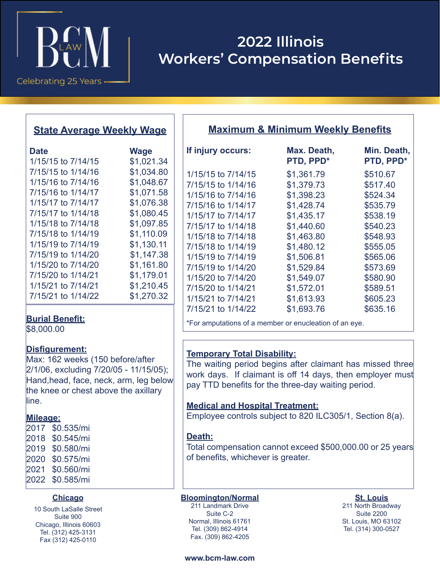

# **2022 Illinois Workers' Compensation Benefits**

# **State Average Weekly Wage**

| <b>Date</b>        | <b>Wage</b> |  |
|--------------------|-------------|--|
| 1/15/15 to 7/14/15 | \$1,021.34  |  |
| 7/15/15 to 1/14/16 | \$1,034.80  |  |
| 1/15/16 to 7/14/16 | \$1,048.67  |  |
| 7/15/16 to 1/14/17 | \$1,071.58  |  |
| 1/15/17 to 7/14/17 | \$1,076.38  |  |
| 7/15/17 to 1/14/18 | \$1,080.45  |  |
| 1/15/18 to 7/14/18 | \$1,097.85  |  |
| 7/15/18 to 1/14/19 | \$1,110.09  |  |
| 1/15/19 to 7/14/19 | \$1,130.11  |  |
| 7/15/19 to 1/14/20 | \$1,147.38  |  |
| 1/15/20 to 7/14/20 | \$1,161.80  |  |
| 7/15/20 to 1/14/21 | \$1,179.01  |  |
| 1/15/21 to 7/14/21 | \$1,210.45  |  |
| 7/15/21 to 1/14/22 | \$1,270.32  |  |

\$8,000.00

## **Disfigurement:**

Max: 162 weeks (150 before/after 2/1/06, excluding 7/20/05 - 11/15/05); Hand,head, face, neck, arm, leg below the knee or chest above the axillary line.

## **Mileage:**

| 2017 | \$0.535/mi |
|------|------------|
| 2018 | \$0.545/mi |
| 2019 | \$0.580/mi |
| 2020 | \$0.575/mi |
| 2021 | \$0.560/mi |
| 2022 | \$0.585/mi |

#### **Chicago**

10 South LaSalle Street Suite 900 Chicago, Illinois 60603 Tel. (312) 425-3131 Fax (312) 425-0110

| <b>Maximum &amp; Minimum Weekly Benefits</b> |                          |                          |  |  |  |
|----------------------------------------------|--------------------------|--------------------------|--|--|--|
| If injury occurs:                            | Max. Death,<br>PTD, PPD* | Min. Death,<br>PTD, PPD* |  |  |  |
| 1/15/15 to 7/14/15                           | \$1,361.79               | \$510.67                 |  |  |  |
| 7/15/15 to 1/14/16                           | \$1,379.73               | \$517.40                 |  |  |  |
| 1/15/16 to 7/14/16                           | \$1,398.23               | \$524.34                 |  |  |  |
| 7/15/16 to 1/14/17                           | \$1,428.74               | \$535.79                 |  |  |  |
| 1/15/17 to 7/14/17                           | \$1,435.17               | \$538.19                 |  |  |  |
| 7/15/17 to 1/14/18                           | \$1,440.60               | \$540.23                 |  |  |  |
| 1/15/18 to 7/14/18                           | \$1,463.80               | \$548.93                 |  |  |  |
| 7/15/18 to 1/14/19                           | \$1,480.12               | \$555.05                 |  |  |  |
| 1/15/19 to 7/14/19                           | \$1,506.81               | \$565.06                 |  |  |  |
| 7/15/19 to 1/14/20                           | \$1,529.84               | \$573.69                 |  |  |  |
| 1/15/20 to 7/14/20                           | \$1,549.07               | \$580.90                 |  |  |  |
| 7/15/20 to 1/14/21                           | \$1,572.01               | \$589.51                 |  |  |  |
| 1/15/21 to 7/14/21                           | \$1,613.93               | \$605.23                 |  |  |  |
| 7/15/21 to 1/14/22                           | \$1,693.76               | \$635.16                 |  |  |  |
|                                              |                          |                          |  |  |  |

**Burial Benefit:**<br>An end of an eye. **Burial Benefit:**  $\begin{array}{r} \hline \end{array}$  \*For amputations of a member or enucleation of an eye.

# **Temporary Total Disability:**

The waiting period begins after claimant has missed three work days. If claimant is off 14 days, then employer must pay TTD benefits for the three-day waiting period.

## **Medical and Hospital Treatment:**

Employee controls subject to 820 ILC305/1, Section 8(a).

## **Death:**

Total compensation cannot exceed \$500,000.00 or 25 years of benefits, whichever is greater.

**Bloomington/Normal** 211 Landmark Drive Suite C-2 Normal, Illinois 61761 Tel. (309) 862-4914

**St. Louis** 211 North Broadway Suite 2200 St. Louis, MO 63102 Tel. (314) 300-0527

#### **www.bcm-law.com**

Fax. (309) 862-4205